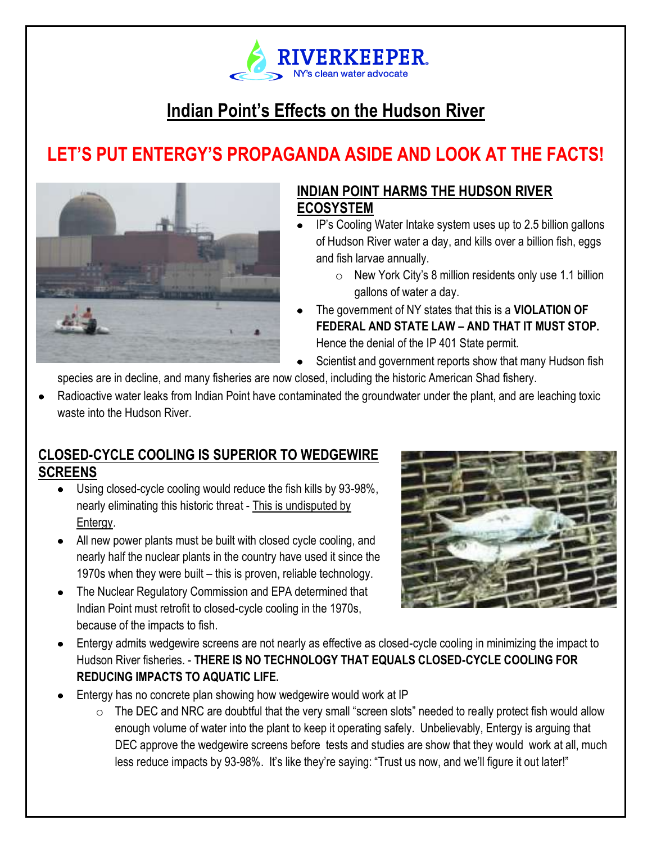

# **Indian Point's Effects on the Hudson River**

# **LET'S PUT ENTERGY'S PROPAGANDA ASIDE AND LOOK AT THE FACTS!**



#### **INDIAN POINT HARMS THE HUDSON RIVER ECOSYSTEM**

- IP's Cooling Water Intake system uses up to 2.5 billion gallons of Hudson River water a day, and kills over a billion fish, eggs and fish larvae annually.
	- o New York City's 8 million residents only use 1.1 billion gallons of water a day.
- The government of NY states that this is a **VIOLATION OF FEDERAL AND STATE LAW – AND THAT IT MUST STOP.** Hence the denial of the IP 401 State permit.
- Scientist and government reports show that many Hudson fish

species are in decline, and many fisheries are now closed, including the historic American Shad fishery.

Radioactive water leaks from Indian Point have contaminated the groundwater under the plant, and are leaching toxic waste into the Hudson River

#### **CLOSED-CYCLE COOLING IS SUPERIOR TO WEDGEWIRE SCREENS**

- Using closed-cycle cooling would reduce the fish kills by 93-98%, nearly eliminating this historic threat - This is undisputed by Entergy.
- All new power plants must be built with closed cycle cooling, and nearly half the nuclear plants in the country have used it since the 1970s when they were built – this is proven, reliable technology.
- The Nuclear Regulatory Commission and EPA determined that Indian Point must retrofit to closed-cycle cooling in the 1970s, because of the impacts to fish.



- *The NYC Watershed consists of approx. 2,000*  Hudson River fisheries. - **THERE IS NO TECHNOLOGY THAT EQUALS CLOSED-CYCLE COOLING FOR** Entergy admits wedgewire screens are not nearly as effective as closed-cycle cooling in minimizing the impact to **REDUCING IMPACTS TO AQUATIC LIFE.**
- Entergy has no concrete plan showing how wedgewire would work at IP
	- $\circ$  The DEC and NRC are doubtful that the very small "screen slots" needed to really protect fish would allow enough volume of water into the plant to keep it operating safely. Unbelievably, Entergy is arguing that DEC approve the wedgewire screens before tests and studies are show that they would work at all, much less reduce impacts by 93-98%. It's like they're saying: "Trust us now, and we'll figure it out later!"